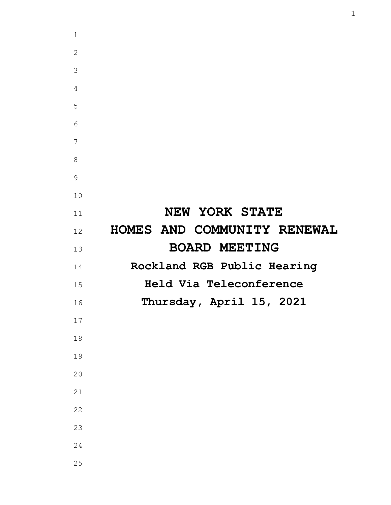| $\mathbf{1}$   |                             |
|----------------|-----------------------------|
| $\mathbf{2}$   |                             |
| 3              |                             |
| $\overline{4}$ |                             |
| 5              |                             |
| 6              |                             |
| $\overline{7}$ |                             |
| $8\,$          |                             |
| 9              |                             |
| 10             |                             |
| 11             | NEW YORK STATE              |
| 12             | HOMES AND COMMUNITY RENEWAL |
| 13             | <b>BOARD MEETING</b>        |
| 14             | Rockland RGB Public Hearing |
| 15             | Held Via Teleconference     |
| 16             | Thursday, April 15, 2021    |
| $17$           |                             |
| $18$           |                             |
| 19             |                             |
| 20             |                             |
| 21             |                             |
| 22             |                             |
| 23             |                             |
| 24             |                             |
| 25             |                             |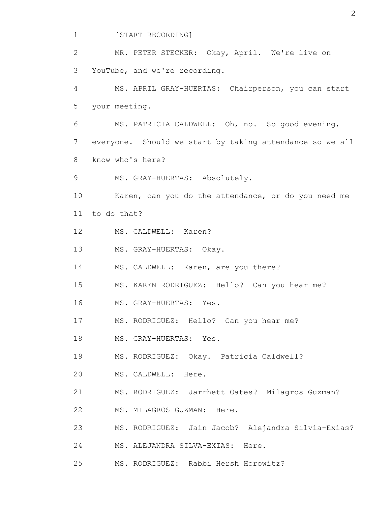1 2 3 4 5 6 7 8 9 10 11 12 13 14 15 16 17 18 19 20 21 22 23 24 25 [START RECORDING] MR. PETER STECKER: Okay, April. We're live on YouTube, and we're recording. MS. APRIL GRAY-HUERTAS: Chairperson, you can start your meeting. MS. PATRICIA CALDWELL: Oh, no. So good evening, everyone. Should we start by taking attendance so we all know who's here? MS. GRAY-HUERTAS: Absolutely. Karen, can you do the attendance, or do you need me to do that? MS. CALDWELL: Karen? MS. GRAY-HUERTAS: Okay. MS. CALDWELL: Karen, are you there? MS. KAREN RODRIGUEZ: Hello? Can you hear me? MS. GRAY-HUERTAS: Yes. MS. RODRIGUEZ: Hello? Can you hear me? MS. GRAY-HUERTAS: Yes. MS. RODRIGUEZ: Okay. Patricia Caldwell? MS. CALDWELL: Here. MS. RODRIGUEZ: Jarrhett Oates? Milagros Guzman? MS. MILAGROS GUZMAN: Here. MS. RODRIGUEZ: Jain Jacob? Alejandra Silvia-Exias? MS. ALEJANDRA SILVA-EXIAS: Here. MS. RODRIGUEZ: Rabbi Hersh Horowitz?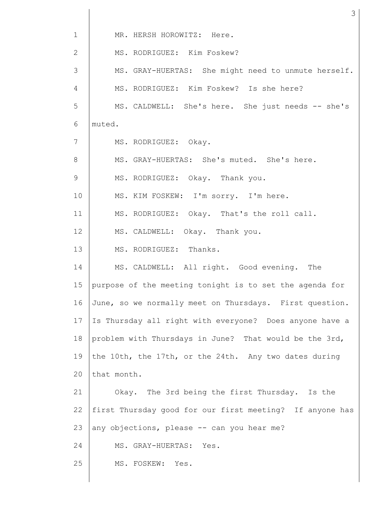| $\mathbf{1}$ | MR. HERSH HOROWITZ: Here.                                |  |  |  |
|--------------|----------------------------------------------------------|--|--|--|
| $\mathbf{2}$ | MS. RODRIGUEZ: Kim Foskew?                               |  |  |  |
| 3            | MS. GRAY-HUERTAS: She might need to unmute herself.      |  |  |  |
| 4            | MS. RODRIGUEZ: Kim Foskew? Is she here?                  |  |  |  |
| 5            | MS. CALDWELL: She's here. She just needs -- she's        |  |  |  |
| 6            | muted.                                                   |  |  |  |
| 7            | MS. RODRIGUEZ: Okay.                                     |  |  |  |
| 8            | MS. GRAY-HUERTAS: She's muted. She's here.               |  |  |  |
| $\mathsf 9$  | MS. RODRIGUEZ: Okay. Thank you.                          |  |  |  |
| 10           | MS. KIM FOSKEW: I'm sorry. I'm here.                     |  |  |  |
| 11           | MS. RODRIGUEZ: Okay. That's the roll call.               |  |  |  |
| 12           | MS. CALDWELL: Okay. Thank you.                           |  |  |  |
| 13           | MS. RODRIGUEZ: Thanks.                                   |  |  |  |
| 14           | MS. CALDWELL: All right. Good evening. The               |  |  |  |
| 15           | purpose of the meeting tonight is to set the agenda for  |  |  |  |
| 16           | June, so we normally meet on Thursdays. First question.  |  |  |  |
| 17           | Is Thursday all right with everyone? Does anyone have a  |  |  |  |
| 18           | problem with Thursdays in June? That would be the 3rd,   |  |  |  |
| 19           | the 10th, the 17th, or the 24th. Any two dates during    |  |  |  |
| 20           | that month.                                              |  |  |  |
| 21           | Okay. The 3rd being the first Thursday. Is the           |  |  |  |
| 22           | first Thursday good for our first meeting? If anyone has |  |  |  |
| 23           | any objections, please -- can you hear me?               |  |  |  |
| 24           | MS. GRAY-HUERTAS: Yes.                                   |  |  |  |
| 25           | MS. FOSKEW:<br>Yes.                                      |  |  |  |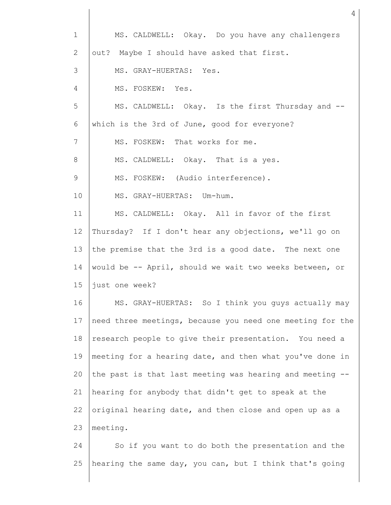| $\mathbf{1}$ | MS. CALDWELL: Okay. Do you have any challengers           |
|--------------|-----------------------------------------------------------|
| 2            | out? Maybe I should have asked that first.                |
| 3            | MS. GRAY-HUERTAS: Yes.                                    |
| 4            | MS. FOSKEW: Yes.                                          |
| 5            | MS. CALDWELL: Okay. Is the first Thursday and --          |
| 6            | which is the 3rd of June, good for everyone?              |
| 7            | MS. FOSKEW: That works for me.                            |
| 8            | MS. CALDWELL: Okay. That is a yes.                        |
| 9            | MS. FOSKEW: (Audio interference).                         |
| 10           | MS. GRAY-HUERTAS: Um-hum.                                 |
| 11           | MS. CALDWELL: Okay. All in favor of the first             |
| 12           | Thursday? If I don't hear any objections, we'll go on     |
| 13           | the premise that the 3rd is a good date. The next one     |
| 14           | would be -- April, should we wait two weeks between, or   |
| 15           | just one week?                                            |
| 16           | MS. GRAY-HUERTAS: So I think you guys actually may        |
| 17           | need three meetings, because you need one meeting for the |
| 18           | research people to give their presentation. You need a    |
| 19           | meeting for a hearing date, and then what you've done in  |
| 20           | the past is that last meeting was hearing and meeting --  |
| 21           | hearing for anybody that didn't get to speak at the       |
| 22           | original hearing date, and then close and open up as a    |
| 23           | meeting.                                                  |
| 24           | So if you want to do both the presentation and the        |

hearing the same day, you can, but I think that's going

25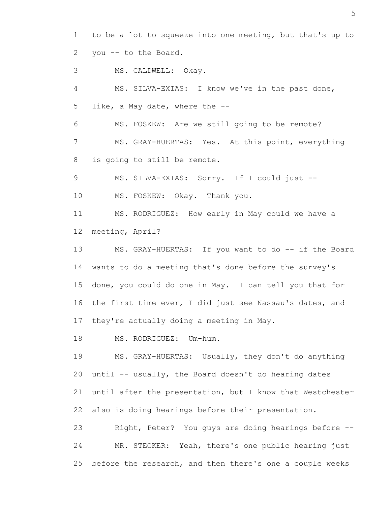| $\mathbf 1$ | to be a lot to squeeze into one meeting, but that's up to |
|-------------|-----------------------------------------------------------|
| 2           | you -- to the Board.                                      |
| 3           | MS. CALDWELL: Okay.                                       |
| 4           | MS. SILVA-EXIAS: I know we've in the past done,           |
| 5           | like, a May date, where the --                            |
| 6           | MS. FOSKEW: Are we still going to be remote?              |
| 7           | MS. GRAY-HUERTAS: Yes. At this point, everything          |
| 8           | is going to still be remote.                              |
| 9           | MS. SILVA-EXIAS: Sorry. If I could just --                |
| 10          | MS. FOSKEW: Okay. Thank you.                              |
| 11          | MS. RODRIGUEZ: How early in May could we have a           |
| 12          | meeting, April?                                           |
| 13          | MS. GRAY-HUERTAS: If you want to do -- if the Board       |
| 14          | wants to do a meeting that's done before the survey's     |
| 15          | done, you could do one in May. I can tell you that for    |
| 16          | the first time ever, I did just see Nassau's dates, and   |
| 17          | they're actually doing a meeting in May.                  |
| 18          | MS. RODRIGUEZ: Um-hum.                                    |
| 19          | MS. GRAY-HUERTAS: Usually, they don't do anything         |
| 20          | until -- usually, the Board doesn't do hearing dates      |
| 21          | until after the presentation, but I know that Westchester |
| 22          | also is doing hearings before their presentation.         |
| 23          | Right, Peter? You guys are doing hearings before --       |
| 24          | MR. STECKER: Yeah, there's one public hearing just        |
| 25          | before the research, and then there's one a couple weeks  |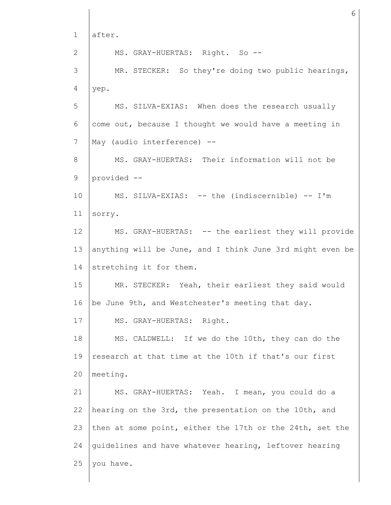1 2 3 4 5 6 7 8 9 10 11 12 13 14 15 16 17 18 19 20 21 22 23 24 25 after. MS. GRAY-HUERTAS: Right. So --MR. STECKER: So they're doing two public hearings, yep. MS. SILVA-EXIAS: When does the research usually come out, because I thought we would have a meeting in May (audio interference) -- MS. GRAY-HUERTAS: Their information will not be provided -- MS. SILVA-EXIAS: -- the (indiscernible) -- I'm sorry. MS. GRAY-HUERTAS: -- the earliest they will provide anything will be June, and I think June 3rd might even be stretching it for them. MR. STECKER: Yeah, their earliest they said would be June 9th, and Westchester's meeting that day. MS. GRAY-HUERTAS: Right. MS. CALDWELL: If we do the 10th, they can do the research at that time at the 10th if that's our first meeting. MS. GRAY-HUERTAS: Yeah. I mean, you could do a hearing on the 3rd, the presentation on the 10th, and then at some point, either the 17th or the 24th, set the guidelines and have whatever hearing, leftover hearing you have.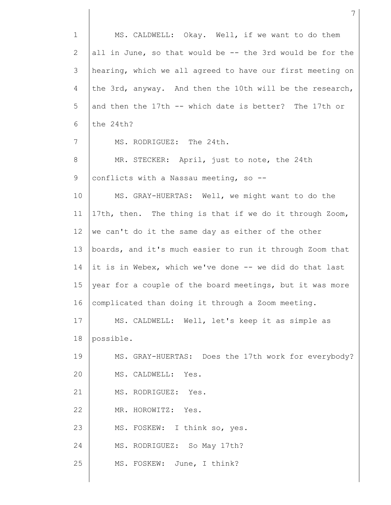1 2 3 4 5 6 7 8 9 10 11 12 13 14 15 16 17 18 19 20 21 22 23 24 25 MS. CALDWELL: Okay. Well, if we want to do them all in June, so that would be -- the 3rd would be for the hearing, which we all agreed to have our first meeting on the 3rd, anyway. And then the 10th will be the research, and then the 17th -- which date is better? The 17th or the 24th? MS. RODRIGUEZ: The 24th. MR. STECKER: April, just to note, the 24th conflicts with a Nassau meeting, so -- MS. GRAY-HUERTAS: Well, we might want to do the 17th, then. The thing is that if we do it through Zoom, we can't do it the same day as either of the other boards, and it's much easier to run it through Zoom that it is in Webex, which we've done -- we did do that last year for a couple of the board meetings, but it was more complicated than doing it through a Zoom meeting. MS. CALDWELL: Well, let's keep it as simple as possible. MS. GRAY-HUERTAS: Does the 17th work for everybody? MS. CALDWELL: Yes. MS. RODRIGUEZ: Yes. MR. HOROWITZ: Yes. MS. FOSKEW: I think so, yes. MS. RODRIGUEZ: So May 17th? MS. FOSKEW: June, I think?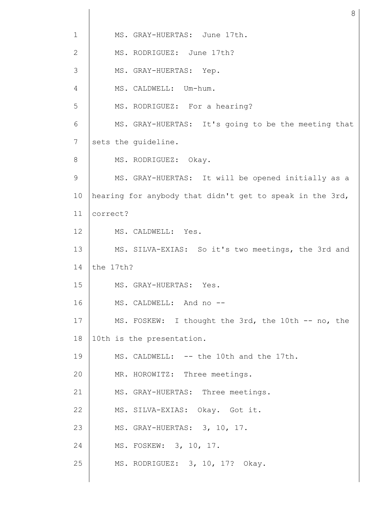| $\mathbf{1}$ | MS. GRAY-HUERTAS: June 17th.                             |
|--------------|----------------------------------------------------------|
| 2            | MS. RODRIGUEZ: June 17th?                                |
| 3            | MS. GRAY-HUERTAS: Yep.                                   |
| 4            | MS. CALDWELL: Um-hum.                                    |
| 5            | MS. RODRIGUEZ: For a hearing?                            |
| 6            | MS. GRAY-HUERTAS: It's going to be the meeting that      |
| 7            | sets the guideline.                                      |
| 8            | MS. RODRIGUEZ: Okay.                                     |
| 9            | MS. GRAY-HUERTAS: It will be opened initially as a       |
| 10           | hearing for anybody that didn't get to speak in the 3rd, |
| 11           | correct?                                                 |
| 12           | MS. CALDWELL: Yes.                                       |
| 13           | MS. SILVA-EXIAS: So it's two meetings, the 3rd and       |
| 14           | the 17th?                                                |
| 15           | MS. GRAY-HUERTAS: Yes.                                   |
| 16           | MS. CALDWELL: And no --                                  |
| 17           | MS. FOSKEW: I thought the 3rd, the 10th -- no, the       |
| 18           | 10th is the presentation.                                |
| 19           | MS. CALDWELL: -- the 10th and the 17th.                  |
| 20           | MR. HOROWITZ: Three meetings.                            |
| 21           | MS. GRAY-HUERTAS: Three meetings.                        |
| 22           | MS. SILVA-EXIAS: Okay. Got it.                           |
| 23           | MS. GRAY-HUERTAS: 3, 10, 17.                             |
| 24           | MS. FOSKEW: 3, 10, 17.                                   |
| 25           | MS. RODRIGUEZ: 3, 10, 17? Okay.                          |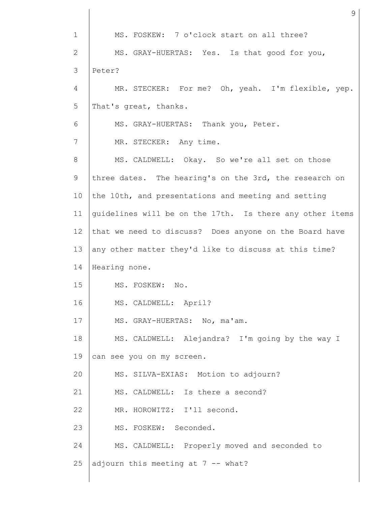1 2 3 4 5 6 7 8 9 10 11 12 13 14 15 16 17 18 19 20 21 22 23 24 25 MS. FOSKEW: 7 o'clock start on all three? MS. GRAY-HUERTAS: Yes. Is that good for you, Peter? MR. STECKER: For me? Oh, yeah. I'm flexible, yep. That's great, thanks. MS. GRAY-HUERTAS: Thank you, Peter. MR. STECKER: Any time. MS. CALDWELL: Okay. So we're all set on those three dates. The hearing's on the 3rd, the research on the 10th, and presentations and meeting and setting guidelines will be on the 17th. Is there any other items that we need to discuss? Does anyone on the Board have any other matter they'd like to discuss at this time? Hearing none. MS. FOSKEW: No. MS. CALDWELL: April? MS. GRAY-HUERTAS: No, ma'am. MS. CALDWELL: Alejandra? I'm going by the way I can see you on my screen. MS. SILVA-EXIAS: Motion to adjourn? MS. CALDWELL: Is there a second? MR. HOROWITZ: I'll second. MS. FOSKEW: Seconded. MS. CALDWELL: Properly moved and seconded to adjourn this meeting at  $7 - -$  what?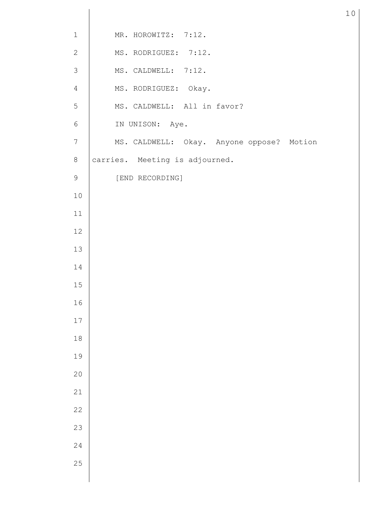| $1\,$          | MR. HOROWITZ: 7:12.                       |
|----------------|-------------------------------------------|
| $\mathbf{2}$   | MS. RODRIGUEZ: 7:12.                      |
| $\mathsf 3$    | MS. CALDWELL: 7:12.                       |
| $\overline{4}$ | MS. RODRIGUEZ: Okay.                      |
| $\mathsf S$    | MS. CALDWELL: All in favor?               |
| $\sqrt{6}$     | IN UNISON: Aye.                           |
| $\overline{7}$ | MS. CALDWELL: Okay. Anyone oppose? Motion |
| $\,8\,$        | carries. Meeting is adjourned.            |
| 9              | [END RECORDING]                           |
| $10$           |                                           |
| $11$           |                                           |
| 12             |                                           |
| 13             |                                           |
| 14             |                                           |
| $15$           |                                           |
| 16             |                                           |
| $17\,$         |                                           |
| $18$           |                                           |
| 19             |                                           |
| $20$           |                                           |
| 21             |                                           |
| 22             |                                           |
| 23             |                                           |
| 24             |                                           |
| 25             |                                           |
|                |                                           |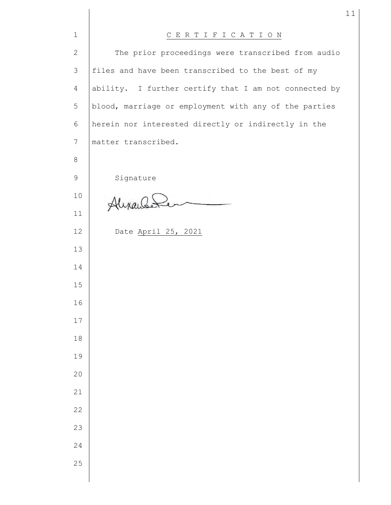| $\mathbf 1$     | CERTIFICATION                                         |
|-----------------|-------------------------------------------------------|
| $\overline{2}$  | The prior proceedings were transcribed from audio     |
| 3               | files and have been transcribed to the best of my     |
| 4               | ability. I further certify that I am not connected by |
| 5               | blood, marriage or employment with any of the parties |
| 6               | herein nor interested directly or indirectly in the   |
| $7\phantom{.0}$ | matter transcribed.                                   |
| 8               |                                                       |
| 9               | Signature                                             |
| 10              | Alexandele                                            |
| 11              |                                                       |
| 12              | Date April 25, 2021                                   |
| 13              |                                                       |
| 14              |                                                       |
| 15              |                                                       |
| 16              |                                                       |
| $17$            |                                                       |
| $1\,8$          |                                                       |
| 19              |                                                       |
| 20              |                                                       |
| 21              |                                                       |
| 22              |                                                       |
| 23              |                                                       |
| 24              |                                                       |
| 25              |                                                       |
|                 |                                                       |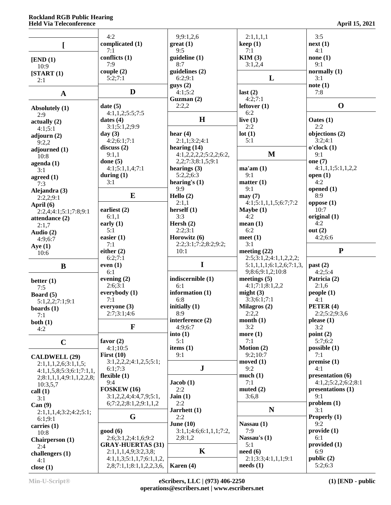## **Rockland RGB Public Hearing Held Via Teleconference April 15, 2021**

|                                                  | 4:2                                                  | 9;9:1,2,6                         | 2:1,1,1,1                                              | 3:5                           |
|--------------------------------------------------|------------------------------------------------------|-----------------------------------|--------------------------------------------------------|-------------------------------|
| L                                                | complicated (1)                                      | $gr(1)$                           | keep(1)                                                | next(1)                       |
|                                                  | 7:1                                                  | 9:5                               | 7:1                                                    | 4:1                           |
| [END (1)]                                        | conflicts (1)                                        | quideline(1)                      | KIM(3)                                                 | none(1)                       |
| 10:9                                             | 7:9<br>couple (2)                                    | 8:7<br>guidelines (2)             | 3:1,2,4                                                | 9:1<br>normally $(1)$         |
| [START (1)]<br>2:1                               | 5:2;7:1                                              | 6:2;9:1                           | L                                                      | 3:1                           |
|                                                  |                                                      | gays(2)                           |                                                        | note(1)                       |
| $\mathbf{A}$                                     | D                                                    | 4:1;5:2                           | last $(2)$                                             | 7:8                           |
|                                                  |                                                      | Guzman $(2)$                      | 4:2;7:1                                                | $\mathbf 0$                   |
| Absolutely (1)                                   | date(5)<br>4:1,1,2;5:5;7:5                           | 2:2,2                             | leftover $(1)$<br>6:2                                  |                               |
| 2:9<br>actually(2)                               | dates $(4)$                                          | H                                 | live $(1)$                                             | Oates (1)                     |
| 4:1;5:1                                          | 3:1;5:1,2;9:9                                        |                                   | 2:2                                                    | 2:2                           |
| adjourn $(2)$                                    | day $(3)$                                            | hear $(4)$                        | lot(1)                                                 | objections (2)                |
| 9:2,2                                            | 4:2;6:1;7:1<br>discuss(2)                            | 2:1,1;3:2;4:1<br>hearing $(14)$   | 5:1                                                    | 3:2;4:1<br>o'clock(1)         |
| adjourned (1)<br>10:8                            | 9:1,1                                                | 4:1,2,2,2,2;5:2,2;6:2,            | M                                                      | 9:1                           |
| $a$ genda $(1)$                                  | done $(5)$                                           | 2,2;7:3;8:1,5;9:1                 |                                                        | one $(7)$                     |
| 3:1                                              | 4:1;5:1,1,4;7:1                                      | hearings $(3)$                    | ma'am(1)                                               | 4:1,1,1;5:1,1,2,2             |
| agreed $(1)$                                     | during $(1)$                                         | 5:2,2;6:3                         | 9:1                                                    | open(1)                       |
| 7:3                                              | 3:1                                                  | hearing's $(1)$<br>9:9            | matter $(1)$<br>9:1                                    | 4:2<br>opened $(1)$           |
| Alejandra (3)<br>2:2,2;9:1                       | E                                                    | Hello $(2)$                       | may(7)                                                 | 8:9                           |
| April (6)                                        |                                                      | 2:1,1                             | 4:1;5:1,1,1,5;6:7;7:2                                  | oppose(1)                     |
| 2:2,4;4:1;5:1;7:8;9:1                            | earliest (2)                                         | herself $(1)$                     | Maybe $(1)$                                            | 10:7                          |
| attendance (2)                                   | 6:1,1                                                | 3:3                               | 4:2                                                    | original $(1)$                |
| 2:1,7                                            | early $(1)$<br>5:1                                   | Hersh $(2)$<br>2:2;3:1            | mean(1)<br>6:2                                         | 4:2<br>out $(2)$              |
| Audio (2)<br>4:9:6:7                             | easier $(1)$                                         | Horowitz (6)                      | meet $(1)$                                             | 4:2;6:6                       |
| Aye $(1)$                                        | 7:1                                                  | 2:2;3:1;7:2;8:2;9:2;              | 3:1                                                    |                               |
|                                                  |                                                      |                                   |                                                        |                               |
| 10:6                                             | either $(2)$                                         | 10:1                              | meeting $(22)$                                         | ${\bf P}$                     |
|                                                  | 6:2;7:1                                              |                                   | 2:5;3:1,2;4:1,1,2,2,2;                                 |                               |
| B                                                | even $(1)$                                           | $\mathbf I$                       | 5:1,1,1,1;6:1,2,6;7:1,3                                | past (2)                      |
|                                                  | 6:1                                                  |                                   | 9;8:6;9:1,2;10:8                                       | 4:2;5:4                       |
| better $(1)$                                     | evening $(2)$<br>2:6;3:1                             | indiscernible (1)<br>6:1          | meetings $(5)$<br>4:1;7:1;8:1,2,2                      | Patricia (2)<br>2:1,6         |
| 7:5<br>Board (5)                                 | everybody (1)                                        | information $(1)$                 | might $(3)$                                            | people(1)                     |
| 5:1,2,2;7:1;9:1                                  | 7:1                                                  | 6:8                               | 3:3;6:1;7:1                                            | 4:1                           |
| boards $(1)$                                     | everyone $(3)$                                       | initially $(1)$                   | Milagros (2)                                           | PETER (4)                     |
| 7:1                                              | 2:7;3:1;4:6                                          | 8:9<br>interference (2)           | 2:2,2<br>month $(1)$                                   | 2:2;5:2;9:3,6<br>please $(1)$ |
| both $(1)$<br>4:2                                | $\mathbf{F}$                                         | 4:9:6:7                           | 3:2                                                    | 3:2                           |
|                                                  |                                                      | into(1)                           | more $(1)$                                             | point $(2)$                   |
| $\mathbf C$                                      | favor $(2)$                                          | 5:1                               | 7:1                                                    | 5:7:6:2                       |
|                                                  | 4:1;10:5                                             | items $(1)$<br>9:1                | Motion (2)<br>9:2;10:7                                 | possible $(1)$<br>7:1         |
| <b>CALDWELL (29)</b>                             | First $(10)$<br>3:1,2,2,2;4:1,2,5;5:1;               |                                   | moved $(1)$                                            | premise(1)                    |
| 2:1,1,1,2,6;3:1,1,5;<br>4:1,1,5,8;5:3;6:1;7:1,1, | 6:1;7:3                                              | ${\bf J}$                         | 9:2                                                    | 4:1                           |
| 2; 8: 1, 1, 1, 4; 9: 1, 1, 2, 2, 8;              | flexible $(1)$                                       |                                   | much(1)                                                | presentation (6)              |
| 10:3,5,7                                         | 9:4                                                  | Jacob(1)                          | 7:1                                                    | 4:1,2;5:2,2;6:2;8:1           |
| call(1)                                          | FOSKEW (16)                                          | 2:2<br>Jain(1)                    | muted $(2)$<br>3:6,8                                   | presentations (1)<br>9:1      |
| 3:1<br>Can(9)                                    | 3:1,2,2,4;4:4,7,9;5:1,<br>6;7:2,2;8:1,2;9:1,1,2      | 2:2                               |                                                        | problem(1)                    |
| 2:1,1,1,4;3:2;4:2;5:1;                           |                                                      | Jarrhett (1)                      | $\mathbf N$                                            | 3:1                           |
| 6:1;9:1                                          | G                                                    | 2:2                               |                                                        | Properly (1)                  |
| carries $(1)$                                    |                                                      | June $(10)$                       | Nassau (1)                                             | 9:2                           |
| 10:8                                             | good(6)<br>2:6;3:1,2;4:1,6;9:2                       | 3:1,1;4:6;6:1,1,1;7:2,<br>2;8:1,2 | 7:9<br>Nassau's (1)                                    | provide (1)<br>6:1            |
| Chairperson (1)<br>2:4                           | <b>GRAY-HUERTAS (31)</b>                             |                                   | 5:1                                                    | provided (1)                  |
| challengers (1)                                  | 2:1,1,1,4,9;3:2,3,8;                                 | $\mathbf K$                       | need(6)                                                | 6:9                           |
| 4:1<br>close $(1)$                               | 4:1,1,3;5:1,1,7;6:1,1,2,<br>2,8;7:1,1;8:1,1,2,2,3,6, | Karen $(4)$                       | 2:1;3:3;4:1,1,1;9:1<br>$\boldsymbol{\text{needs}}$ (1) | public (2)<br>5:2;6:3         |